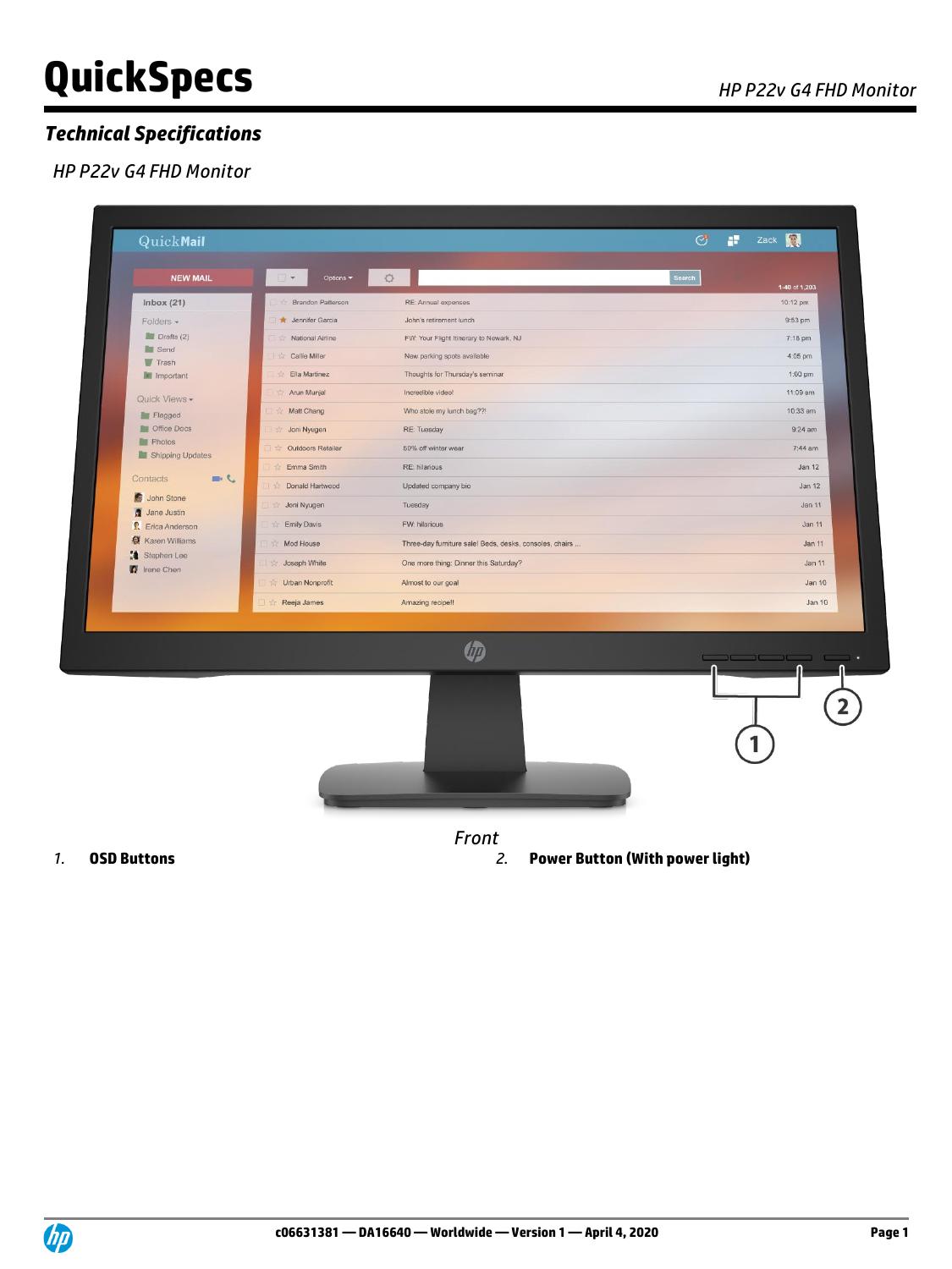# **QuickSpecs** *APP22v G4 FHD Monitor*

### *Technical Specifications*

#### *HP P22v G4 FHD Monitor*

| <b>QuickMail</b>                         |                             |                                                         | $\circledcirc$ | Zack <b>N</b><br>÷                                                                                                                                                                                                                |
|------------------------------------------|-----------------------------|---------------------------------------------------------|----------------|-----------------------------------------------------------------------------------------------------------------------------------------------------------------------------------------------------------------------------------|
| <b>NEW MAIL</b>                          | $\Box$<br>Options *         | O                                                       | Search         | 1-40 of 1,203                                                                                                                                                                                                                     |
| Inbox $(21)$                             | <b>Brandon Patterson</b>    | RE: Annual expenses                                     |                | 10:12 pm                                                                                                                                                                                                                          |
| Folders -                                | <b>*</b> Jennifer Garcia    | John's retirement lunch                                 |                | 9:53 pm                                                                                                                                                                                                                           |
| Drafts(2)                                | National Airline            | FW: Your Flight Itinerary to Newark, NJ                 |                | 7:18 pm                                                                                                                                                                                                                           |
| <b>Send</b><br><b>Trash</b>              | Callie Miller               | New parking spots available                             |                | 4:05 pm                                                                                                                                                                                                                           |
| Important                                | Ella Martinez               | Thoughts for Thursday's seminar                         |                | $1:00$ pm                                                                                                                                                                                                                         |
| Quick Views -                            | Arun Munjal                 | Incredible video!                                       |                | 11:09 am                                                                                                                                                                                                                          |
| Flagged                                  | Matt Chang                  | Who stole my lunch bag??!                               |                | 10:33 am                                                                                                                                                                                                                          |
| Office Docs                              | Joni Nyugen                 | RE: Tuesday                                             |                | $9:24$ am                                                                                                                                                                                                                         |
| Photos<br>Shipping Updates               | Outdoors Retailer<br>1.52   | 50% off winter wear                                     |                | $7:44$ am                                                                                                                                                                                                                         |
|                                          | Emma Smith<br>$\frac{1}{2}$ | RE: hilarious                                           |                | <b>Jan 12</b>                                                                                                                                                                                                                     |
| $J =$<br>Contacts                        | <b>Donald Hartwood</b>      | Updated company bio                                     |                | Jan 12                                                                                                                                                                                                                            |
| John Stone                               | Joni Nyugen                 | Tuesday                                                 |                | Jan 11                                                                                                                                                                                                                            |
| Jane Justin<br><b>R</b> . Erica Anderson | <b>Emily Davis</b>          | FW: hilarious                                           |                | <b>Jan 11</b>                                                                                                                                                                                                                     |
| <b>Karen Williams</b>                    | Mod House                   | Three-day furniture sale! Beds, desks, consoles, chairs |                | <b>Jan 11</b>                                                                                                                                                                                                                     |
| Stephen Lee                              | Joseph White                | One more thing: Dinner this Saturday?                   |                | Jan 11                                                                                                                                                                                                                            |
| rene Chen                                | Urban Nonprofit<br>容        | Almost to our goal                                      |                | <b>Jan 10</b>                                                                                                                                                                                                                     |
|                                          | Reeja James                 | Amazing recipe!!                                        |                | Jan 10                                                                                                                                                                                                                            |
|                                          |                             |                                                         |                |                                                                                                                                                                                                                                   |
|                                          |                             | 伽                                                       |                | $\mathbf{1}$ . The set of the set of the set of the set of the set of the set of the set of the set of the set of the set of the set of the set of the set of the set of the set of the set of the set of the set of the set of t |
|                                          |                             |                                                         |                |                                                                                                                                                                                                                                   |
|                                          |                             |                                                         |                |                                                                                                                                                                                                                                   |
|                                          |                             | Front                                                   |                |                                                                                                                                                                                                                                   |

*1.* **OSD Buttons** *2.* **Power Button (With power light)**

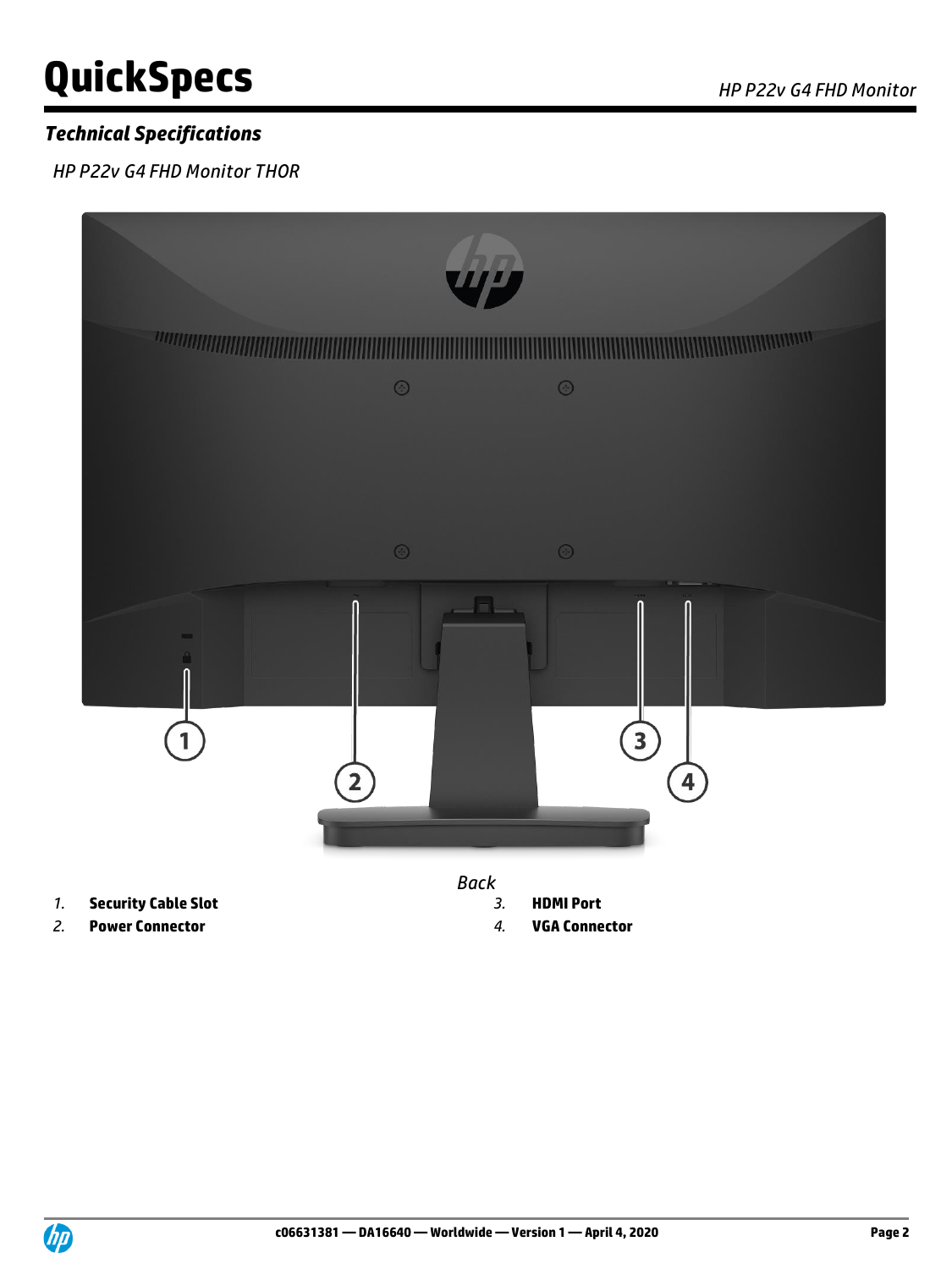# **QuickSpecs** *AP P22v G4 FHD Monitor*

# *Technical Specifications*

*HP P22v G4 FHD Monitor THOR*



- 
- *2.* **Power Connector** *4.* **VGA Connector**
- -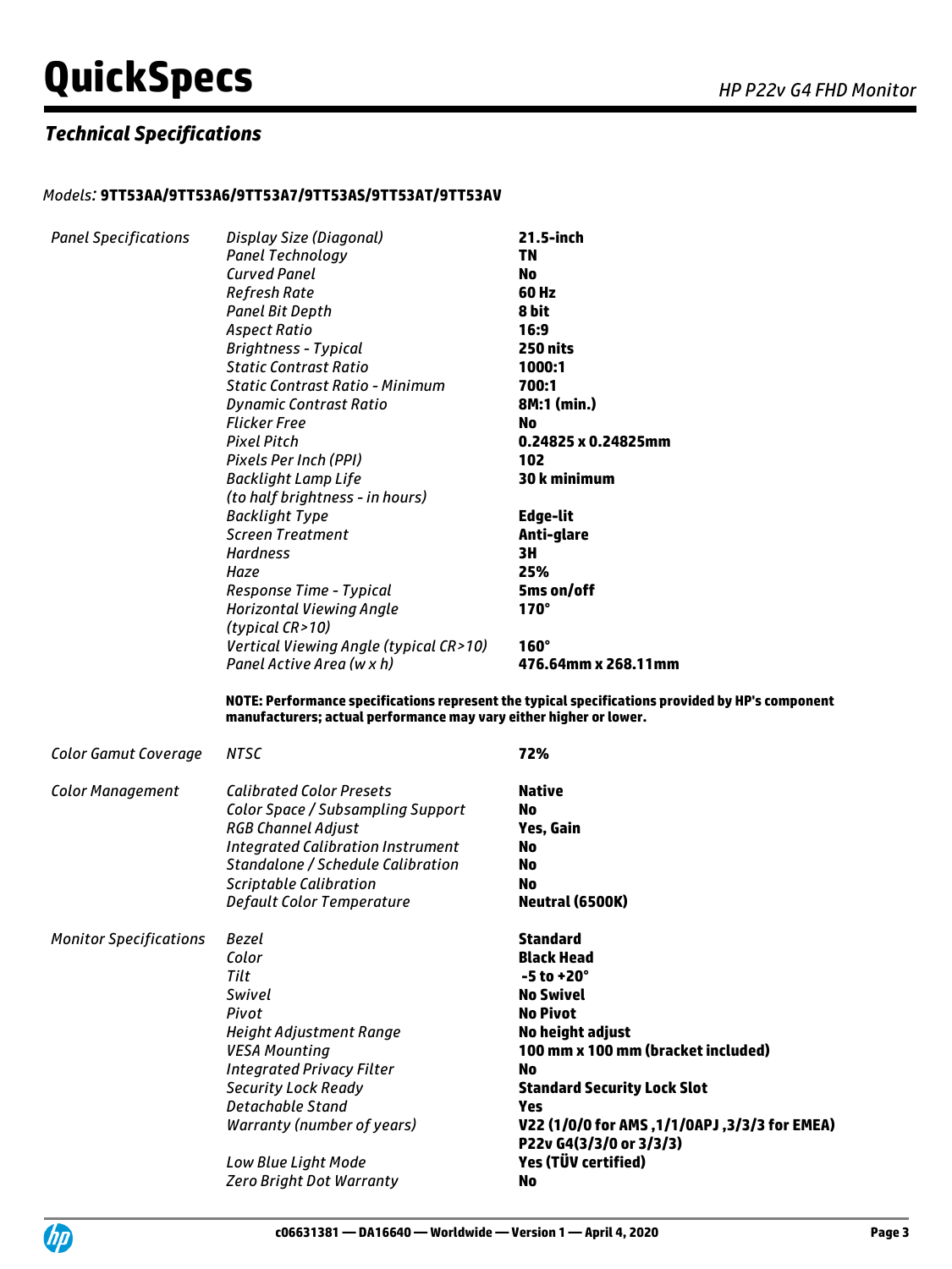# **QuickSpecs** *APP22v G4 FHD Monitor*

# *Technical Specifications*

#### *Models:* **9TT53AA/9TT53A6/9TT53A7/9TT53AS/9TT53AT/9TT53AV**

| <b>Panel Specifications</b>   | Display Size (Diagonal)<br><b>Panel Technology</b><br><b>Curved Panel</b><br><b>Refresh Rate</b><br><b>Panel Bit Depth</b><br><b>Aspect Ratio</b><br><b>Brightness - Typical</b><br><b>Static Contrast Ratio</b><br>Static Contrast Ratio - Minimum<br><b>Dynamic Contrast Ratio</b><br><b>Flicker Free</b><br><b>Pixel Pitch</b><br>Pixels Per Inch (PPI)<br><b>Backlight Lamp Life</b><br>(to half brightness - in hours) | 21.5-inch<br><b>TN</b><br>No<br>60 Hz<br>8 bit<br>16:9<br>250 nits<br>1000:1<br>700:1<br>8M:1 (min.)<br>No<br>0.24825 x 0.24825mm<br>102<br>30 k minimum                                                                                                         |
|-------------------------------|-----------------------------------------------------------------------------------------------------------------------------------------------------------------------------------------------------------------------------------------------------------------------------------------------------------------------------------------------------------------------------------------------------------------------------|------------------------------------------------------------------------------------------------------------------------------------------------------------------------------------------------------------------------------------------------------------------|
|                               | <b>Backlight Type</b><br><b>Screen Treatment</b><br><b>Hardness</b><br>Haze<br>Response Time - Typical<br><b>Horizontal Viewing Angle</b><br>(typical CR>10)<br>Vertical Viewing Angle (typical CR>10)                                                                                                                                                                                                                      | Edge-lit<br>Anti-glare<br>3H<br>25%<br>5ms on/off<br>$170^\circ$<br>$160^\circ$                                                                                                                                                                                  |
|                               | Panel Active Area (w x h)<br>manufacturers; actual performance may vary either higher or lower.                                                                                                                                                                                                                                                                                                                             | 476.64mm x 268.11mm<br>NOTE: Performance specifications represent the typical specifications provided by HP's component                                                                                                                                          |
| Color Gamut Coverage          | <b>NTSC</b>                                                                                                                                                                                                                                                                                                                                                                                                                 | 72%                                                                                                                                                                                                                                                              |
| <b>Color Management</b>       | <b>Calibrated Color Presets</b><br><b>Color Space / Subsampling Support</b><br><b>RGB Channel Adjust</b><br><b>Integrated Calibration Instrument</b><br>Standalone / Schedule Calibration<br><b>Scriptable Calibration</b><br>Default Color Temperature                                                                                                                                                                     | Native<br>No<br>Yes, Gain<br><b>No</b><br><b>No</b><br>No<br>Neutral (6500K)                                                                                                                                                                                     |
| <b>Monitor Specifications</b> | Bezel<br>Color<br>Tilt<br>Swivel<br>Pivot<br><b>Height Adjustment Range</b><br><b>VESA Mounting</b><br><b>Integrated Privacy Filter</b><br><b>Security Lock Ready</b><br><b>Detachable Stand</b><br>Warranty (number of years)                                                                                                                                                                                              | <b>Standard</b><br><b>Black Head</b><br>$-5$ to $+20^\circ$<br><b>No Swivel</b><br><b>No Pivot</b><br>No height adjust<br>100 mm x 100 mm (bracket included)<br>No<br><b>Standard Security Lock Slot</b><br>Yes<br>V22 (1/0/0 for AMS, 1/1/0APJ, 3/3/3 for EMEA) |

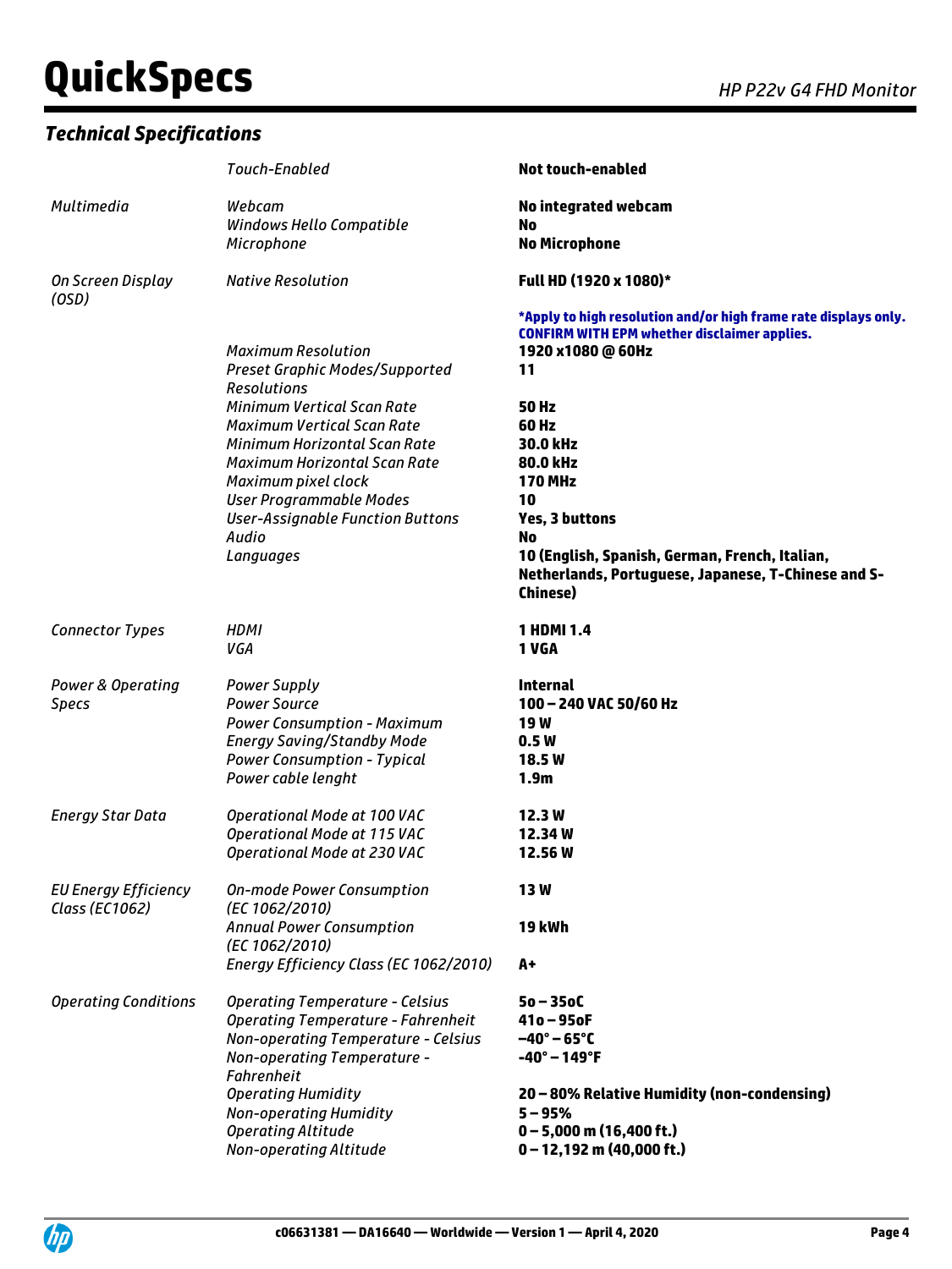# **QuickSpecs** *AP P22v G4 FHD Monitor*

#### *Technical Specifications*

|                                               | Touch-Enabled                                        | <b>Not touch-enabled</b>                                                                                               |
|-----------------------------------------------|------------------------------------------------------|------------------------------------------------------------------------------------------------------------------------|
| Multimedia                                    | Webcam<br>Windows Hello Compatible                   | No integrated webcam<br>No                                                                                             |
|                                               | Microphone                                           | <b>No Microphone</b>                                                                                                   |
| On Screen Display<br>(OSD)                    | <b>Native Resolution</b>                             | Full HD (1920 x 1080)*                                                                                                 |
|                                               |                                                      | *Apply to high resolution and/or high frame rate displays only.<br><b>CONFIRM WITH EPM whether disclaimer applies.</b> |
|                                               | <b>Maximum Resolution</b>                            | 1920 x1080 @ 60Hz                                                                                                      |
|                                               | <b>Preset Graphic Modes/Supported</b><br>Resolutions | 11                                                                                                                     |
|                                               | <b>Minimum Vertical Scan Rate</b>                    | <b>50 Hz</b>                                                                                                           |
|                                               | <b>Maximum Vertical Scan Rate</b>                    | 60 Hz                                                                                                                  |
|                                               | Minimum Horizontal Scan Rate                         | 30.0 kHz                                                                                                               |
|                                               | Maximum Horizontal Scan Rate                         | 80.0 kHz                                                                                                               |
|                                               | Maximum pixel clock                                  | <b>170 MHz</b>                                                                                                         |
|                                               | <b>User Programmable Modes</b>                       | 10                                                                                                                     |
|                                               | <b>User-Assignable Function Buttons</b>              | <b>Yes, 3 buttons</b>                                                                                                  |
|                                               | Audio                                                | No                                                                                                                     |
|                                               | Languages                                            | 10 (English, Spanish, German, French, Italian,<br>Netherlands, Portuguese, Japanese, T-Chinese and S-                  |
|                                               |                                                      | <b>Chinese</b> )                                                                                                       |
| <b>Connector Types</b>                        | <b>HDMI</b><br>VGA                                   | 1 HDMI 1.4<br>1 VGA                                                                                                    |
| Power & Operating                             | <b>Power Supply</b>                                  | Internal                                                                                                               |
| <b>Specs</b>                                  | <b>Power Source</b>                                  | 100 - 240 VAC 50/60 Hz                                                                                                 |
|                                               | <b>Power Consumption - Maximum</b>                   | <b>19W</b>                                                                                                             |
|                                               | <b>Energy Saving/Standby Mode</b>                    | 0.5W                                                                                                                   |
|                                               | <b>Power Consumption - Typical</b>                   | <b>18.5W</b>                                                                                                           |
|                                               | Power cable lenght                                   | 1.9 <sub>m</sub>                                                                                                       |
| <b>Energy Star Data</b>                       | Operational Mode at 100 VAC                          | 12.3W                                                                                                                  |
|                                               | Operational Mode at 115 VAC                          | 12.34W                                                                                                                 |
|                                               | Operational Mode at 230 VAC                          | 12.56 W                                                                                                                |
| <b>EU Energy Efficiency</b><br>Class (EC1062) | <b>On-mode Power Consumption</b><br>(EC 1062/2010)   | <b>13W</b>                                                                                                             |
|                                               | <b>Annual Power Consumption</b><br>(EC 1062/2010)    | <b>19 kWh</b>                                                                                                          |
|                                               | Energy Efficiency Class (EC 1062/2010)               | A+                                                                                                                     |
| <b>Operating Conditions</b>                   | <b>Operating Temperature - Celsius</b>               | $50 - 350C$                                                                                                            |
|                                               | <b>Operating Temperature - Fahrenheit</b>            | $410 - 950F$                                                                                                           |
|                                               | Non-operating Temperature - Celsius                  | $-40^\circ - 65^\circ C$                                                                                               |
|                                               | Non-operating Temperature -<br><b>Fahrenheit</b>     | $-40^{\circ} - 149^{\circ}$ F                                                                                          |
|                                               | <b>Operating Humidity</b>                            | 20 - 80% Relative Humidity (non-condensing)                                                                            |
|                                               | Non-operating Humidity                               | $5 - 95%$                                                                                                              |
|                                               | <b>Operating Altitude</b>                            | $0 - 5,000$ m (16,400 ft.)                                                                                             |
|                                               | Non-operating Altitude                               | $0 - 12,192$ m (40,000 ft.)                                                                                            |

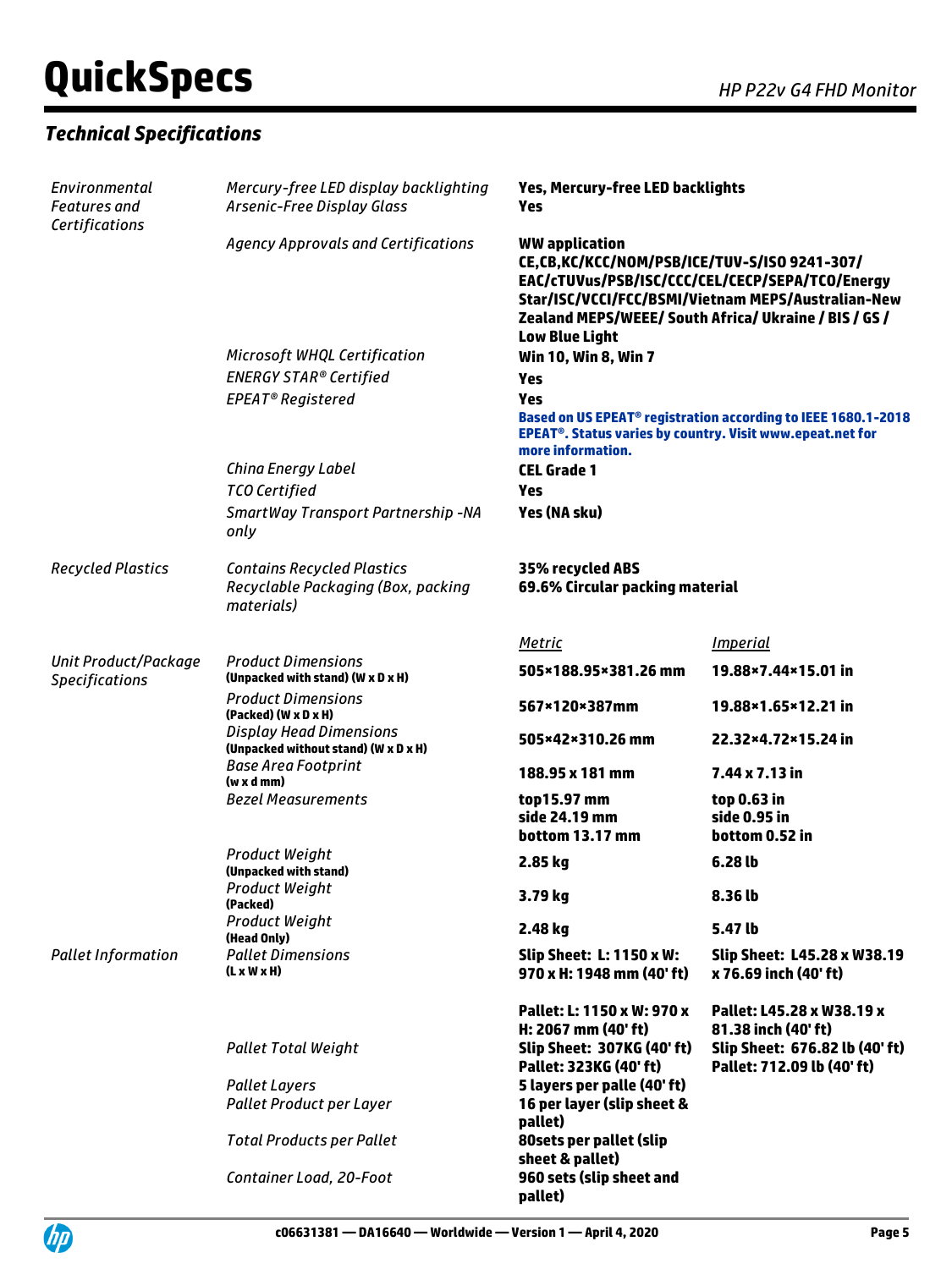# **QuickSpecs** *AP P22v G4 FHD Monitor*

## *Technical Specifications*

| Environmental<br><b>Features</b> and<br>Certifications | Mercury-free LED display backlighting<br>Arsenic-Free Display Glass                   | Yes, Mercury-free LED backlights<br>Yes                                                            |                                                                                                                                                                |
|--------------------------------------------------------|---------------------------------------------------------------------------------------|----------------------------------------------------------------------------------------------------|----------------------------------------------------------------------------------------------------------------------------------------------------------------|
|                                                        | Agency Approvals and Certifications                                                   | <b>WW</b> application<br>CE,CB,KC/KCC/NOM/PSB/ICE/TUV-S/ISO 9241-307/<br><b>Low Blue Light</b>     | EAC/cTUVus/PSB/ISC/CCC/CEL/CECP/SEPA/TCO/Energy<br>Star/ISC/VCCI/FCC/BSMI/Vietnam MEPS/Australian-New<br>Zealand MEPS/WEEE/ South Africa/ Ukraine / BIS / GS / |
|                                                        | Microsoft WHQL Certification                                                          | Win 10, Win 8, Win 7                                                                               |                                                                                                                                                                |
|                                                        | <b>ENERGY STAR® Certified</b>                                                         | Yes                                                                                                |                                                                                                                                                                |
|                                                        | EPEAT <sup>®</sup> Registered                                                         | Yes<br>EPEAT <sup>®</sup> . Status varies by country. Visit www.epeat.net for<br>more information. | Based on US EPEAT <sup>®</sup> registration according to IEEE 1680.1-2018                                                                                      |
|                                                        | China Energy Label                                                                    | <b>CEL Grade 1</b>                                                                                 |                                                                                                                                                                |
|                                                        | <b>TCO Certified</b>                                                                  | Yes                                                                                                |                                                                                                                                                                |
|                                                        | SmartWay Transport Partnership -NA<br>only                                            | Yes (NA sku)                                                                                       |                                                                                                                                                                |
| <b>Recycled Plastics</b>                               | <b>Contains Recycled Plastics</b><br>Recyclable Packaging (Box, packing<br>materials) | 35% recycled ABS<br>69.6% Circular packing material                                                |                                                                                                                                                                |
|                                                        |                                                                                       | <b>Metric</b>                                                                                      | <i><u><b>Imperial</b></u></i>                                                                                                                                  |
| Unit Product/Package<br><b>Specifications</b>          | <b>Product Dimensions</b><br>(Unpacked with stand) (W x D x H)                        | 505×188.95×381.26 mm                                                                               | 19.88×7.44×15.01 in                                                                                                                                            |
|                                                        | <b>Product Dimensions</b><br>(Packed) (W x D x H)                                     | 567×120×387mm                                                                                      | 19.88×1.65×12.21 in                                                                                                                                            |
|                                                        | <b>Display Head Dimensions</b><br>(Unpacked without stand) (W x D x H)                | 505×42×310.26 mm                                                                                   | 22.32×4.72×15.24 in                                                                                                                                            |
|                                                        | <b>Base Area Footprint</b><br>$(w \times d \,mm)$                                     | 188.95 x 181 mm                                                                                    | 7.44 x 7.13 in                                                                                                                                                 |
|                                                        | <b>Bezel Measurements</b>                                                             | top15.97 mm<br>side 24.19 mm<br>bottom 13.17 mm                                                    | top 0.63 in<br>side 0.95 in<br>bottom 0.52 in                                                                                                                  |
|                                                        | <b>Product Weight</b><br>(Unpacked with stand)                                        | 2.85 kg                                                                                            | 6.28 lb                                                                                                                                                        |
|                                                        | Product Weight<br>(Packed)                                                            | 3.79 kg                                                                                            | 8.36 lb                                                                                                                                                        |
|                                                        | <b>Product Weight</b><br>(Head Only)                                                  | 2.48 kg                                                                                            | 5.47 lb                                                                                                                                                        |
| <b>Pallet Information</b>                              | <b>Pallet Dimensions</b><br>$(L \times W \times H)$                                   | <b>Slip Sheet: L: 1150 x W:</b><br>970 x H: 1948 mm (40' ft)                                       | Slip Sheet: L45.28 x W38.19<br>x 76.69 inch (40' ft)                                                                                                           |
|                                                        |                                                                                       | Pallet: L: 1150 x W: 970 x<br>H: 2067 mm (40' ft)                                                  | Pallet: L45.28 x W38.19 x<br>81.38 inch (40' ft)                                                                                                               |
|                                                        | <b>Pallet Total Weight</b>                                                            | <b>Slip Sheet: 307KG (40' ft)</b><br>Pallet: 323KG (40' ft)                                        | Slip Sheet: 676.82 lb (40' ft)<br>Pallet: 712.09 lb (40' ft)                                                                                                   |
|                                                        | <b>Pallet Layers</b>                                                                  | 5 layers per palle (40' ft)                                                                        |                                                                                                                                                                |
|                                                        | Pallet Product per Layer                                                              | 16 per layer (slip sheet &<br>pallet)                                                              |                                                                                                                                                                |
|                                                        | <b>Total Products per Pallet</b>                                                      | 80sets per pallet (slip<br>sheet & pallet)                                                         |                                                                                                                                                                |
|                                                        | Container Load, 20-Foot                                                               | 960 sets (slip sheet and<br>pallet)                                                                |                                                                                                                                                                |

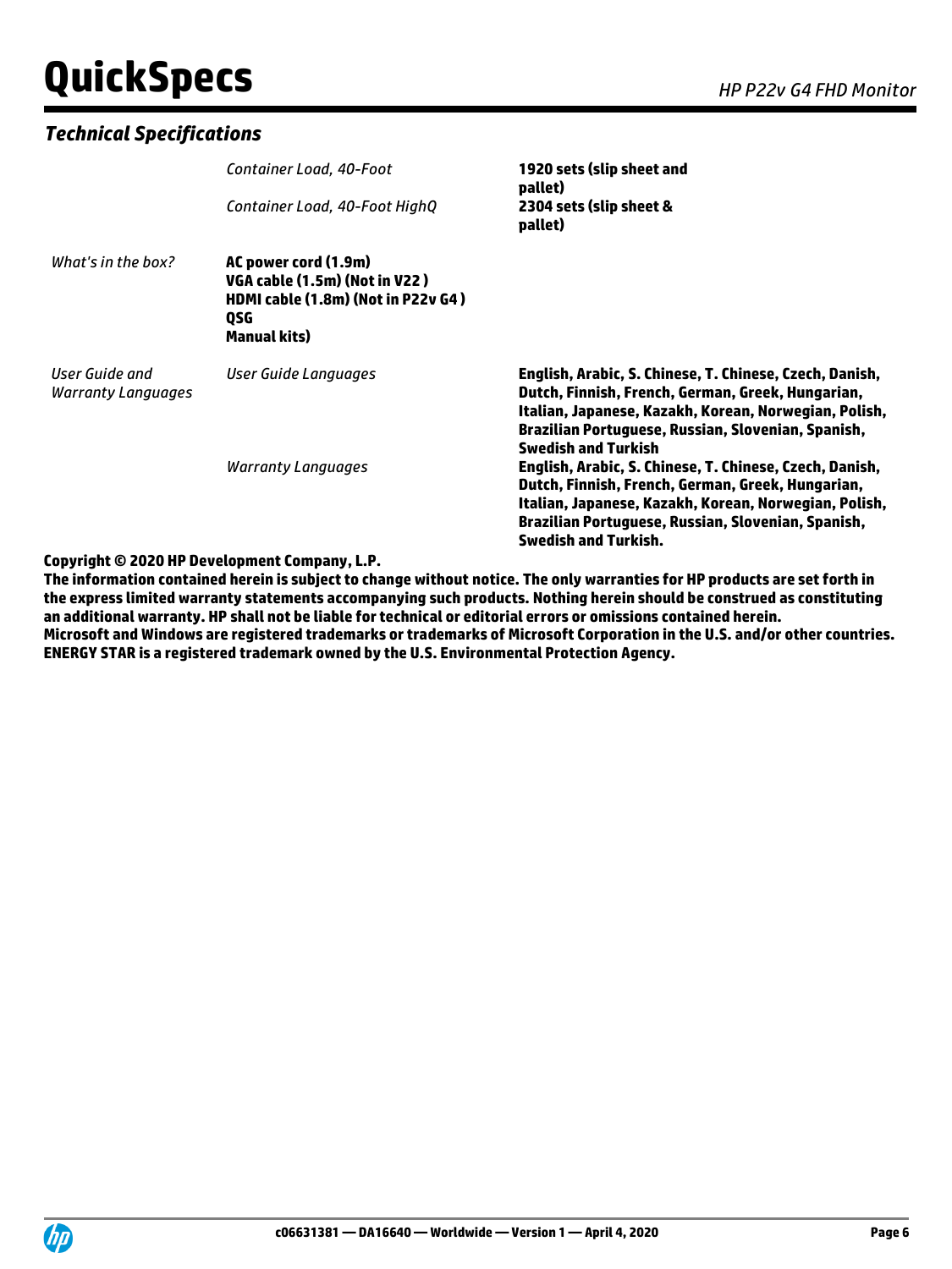# **QuickSpecs** *HP P22v G4 FHD Monitor*

#### *Technical Specifications*

|                                             | Container Load, 40-Foot<br>Container Load, 40-Foot HighQ                                                                         | 1920 sets (slip sheet and<br>pallet)<br>2304 sets (slip sheet &<br>pallet)                                                                                                                                                                                 |
|---------------------------------------------|----------------------------------------------------------------------------------------------------------------------------------|------------------------------------------------------------------------------------------------------------------------------------------------------------------------------------------------------------------------------------------------------------|
| What's in the box?                          | AC power cord (1.9m)<br>VGA cable (1.5m) (Not in V22)<br>HDMI cable (1.8m) (Not in P22v G4)<br><b>OSG</b><br><b>Manual kits)</b> |                                                                                                                                                                                                                                                            |
| User Guide and<br><b>Warranty Languages</b> | User Guide Languages                                                                                                             | English, Arabic, S. Chinese, T. Chinese, Czech, Danish,<br>Dutch, Finnish, French, German, Greek, Hungarian,<br>Italian, Japanese, Kazakh, Korean, Norwegian, Polish,<br>Brazilian Portuguese, Russian, Slovenian, Spanish,<br><b>Swedish and Turkish</b>  |
|                                             | <b>Warranty Languages</b>                                                                                                        | English, Arabic, S. Chinese, T. Chinese, Czech, Danish,<br>Dutch, Finnish, French, German, Greek, Hungarian,<br>Italian, Japanese, Kazakh, Korean, Norwegian, Polish,<br>Brazilian Portuguese, Russian, Slovenian, Spanish,<br><b>Swedish and Turkish.</b> |

#### **Copyright © 2020 HP Development Company, L.P.**

**The information contained herein is subject to change without notice. The only warranties for HP products are set forth in the express limited warranty statements accompanying such products. Nothing herein should be construed as constituting an additional warranty. HP shall not be liable for technical or editorial errors or omissions contained herein. Microsoft and Windows are registered trademarks or trademarks of Microsoft Corporation in the U.S. and/or other countries. ENERGY STAR is a registered trademark owned by the U.S. Environmental Protection Agency.**